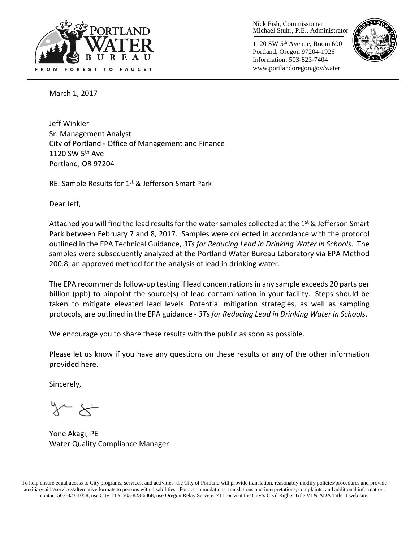

Nick Fish, Commissioner Michael Stuhr, P.E., Administrator

1120 SW 5th Avenue, Room 600 Portland, Oregon 97204-1926 Information: 503-823-7404 www.portlandoregon.gov/water



March 1, 2017

Jeff Winkler Sr. Management Analyst City of Portland - Office of Management and Finance 1120 SW  $5<sup>th</sup>$  Ave Portland, OR 97204

RE: Sample Results for 1<sup>st</sup> & Jefferson Smart Park

Dear Jeff,

Attached you will find the lead results for the water samples collected at the  $1<sup>st</sup>$  & Jefferson Smart Park between February 7 and 8, 2017. Samples were collected in accordance with the protocol outlined in the EPA Technical Guidance, *3Ts for Reducing Lead in Drinking Water in Schools*. The samples were subsequently analyzed at the Portland Water Bureau Laboratory via EPA Method 200.8, an approved method for the analysis of lead in drinking water.

The EPA recommends follow-up testing if lead concentrations in any sample exceeds 20 parts per billion (ppb) to pinpoint the source(s) of lead contamination in your facility. Steps should be taken to mitigate elevated lead levels. Potential mitigation strategies, as well as sampling protocols, are outlined in the EPA guidance - *3Ts for Reducing Lead in Drinking Water in Schools*.

We encourage you to share these results with the public as soon as possible.

Please let us know if you have any questions on these results or any of the other information provided here.

Sincerely,

Yone Akagi, PE Water Quality Compliance Manager

To help ensure equal access to City programs, services, and activities, the City of Portland will provide translation, reasonably modify policies/procedures and provide auxiliary aids/services/alternative formats to persons with disabilities. For accommodations, translations and interpretations, complaints, and additional information, contact 503-823-1058, use City TTY 503-823-6868, use Oregon Relay Service: 711, or visi[t the City's Civil Rights Title VI & ADA Title II web site.](http://www.portlandoregon.gov/oehr/66458)